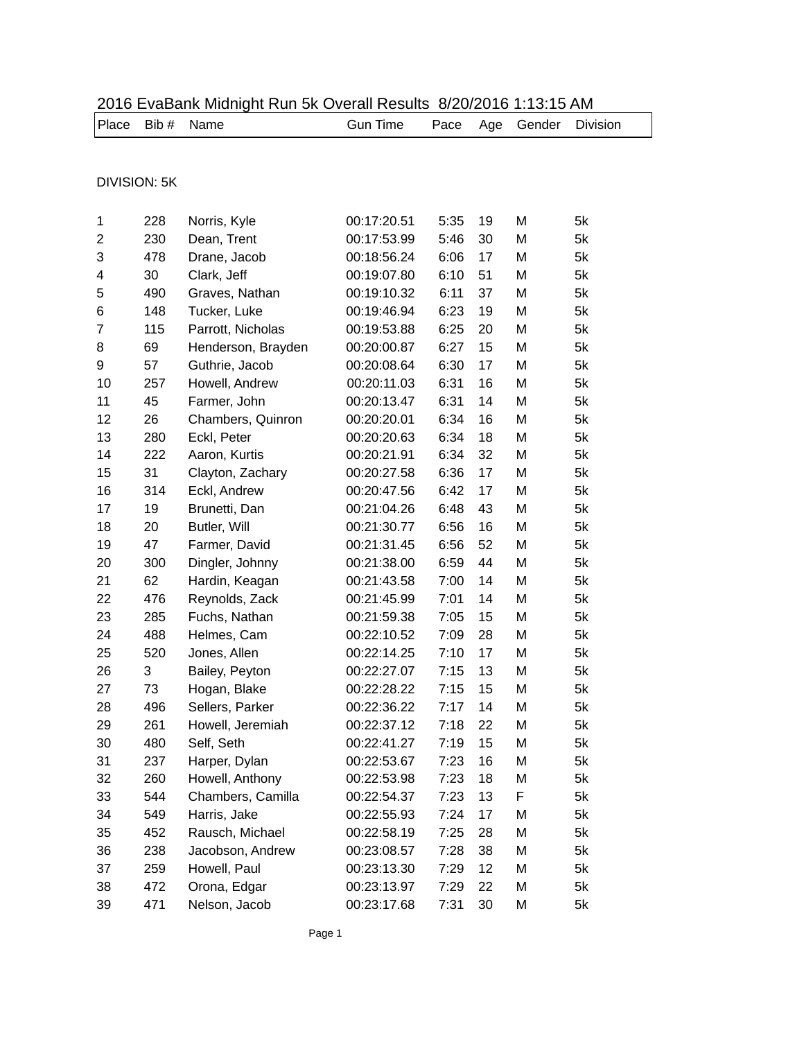| Place | Bib #               | Name               | <b>Gun Time</b> | Pace | Age | Gender | Division |
|-------|---------------------|--------------------|-----------------|------|-----|--------|----------|
|       |                     |                    |                 |      |     |        |          |
|       | <b>DIVISION: 5K</b> |                    |                 |      |     |        |          |
|       |                     |                    |                 |      |     |        |          |
| 1     | 228                 | Norris, Kyle       | 00:17:20.51     | 5:35 | 19  | M      | 5k       |
| 2     | 230                 | Dean, Trent        | 00:17:53.99     | 5:46 | 30  | M      | 5k       |
| 3     | 478                 | Drane, Jacob       | 00:18:56.24     | 6:06 | 17  | M      | 5k       |
| 4     | 30                  | Clark, Jeff        | 00:19:07.80     | 6:10 | 51  | M      | 5k       |
| 5     | 490                 | Graves, Nathan     | 00:19:10.32     | 6:11 | 37  | M      | 5k       |
| 6     | 148                 | Tucker, Luke       | 00:19:46.94     | 6:23 | 19  | M      | 5k       |
| 7     | 115                 | Parrott, Nicholas  | 00:19:53.88     | 6:25 | 20  | M      | 5k       |
| 8     | 69                  | Henderson, Brayden | 00:20:00.87     | 6:27 | 15  | M      | 5k       |
| 9     | 57                  | Guthrie, Jacob     | 00:20:08.64     | 6:30 | 17  | M      | 5k       |
| 10    | 257                 | Howell, Andrew     | 00:20:11.03     | 6:31 | 16  | M      | 5k       |
| 11    | 45                  | Farmer, John       | 00:20:13.47     | 6:31 | 14  | M      | 5k       |
| 12    | 26                  | Chambers, Quinron  | 00:20:20.01     | 6:34 | 16  | M      | 5k       |
| 13    | 280                 | Eckl, Peter        | 00:20:20.63     | 6:34 | 18  | M      | 5k       |
| 14    | 222                 | Aaron, Kurtis      | 00:20:21.91     | 6:34 | 32  | M      | 5k       |
| 15    | 31                  | Clayton, Zachary   | 00:20:27.58     | 6:36 | 17  | M      | 5k       |
| 16    | 314                 | Eckl, Andrew       | 00:20:47.56     | 6:42 | 17  | M      | 5k       |
| 17    | 19                  | Brunetti, Dan      | 00:21:04.26     | 6:48 | 43  | M      | 5k       |
| 18    | 20                  | Butler, Will       | 00:21:30.77     | 6:56 | 16  | M      | 5k       |
| 19    | 47                  | Farmer, David      | 00:21:31.45     | 6:56 | 52  | M      | 5k       |
| 20    | 300                 | Dingler, Johnny    | 00:21:38.00     | 6:59 | 44  | M      | 5k       |
| 21    | 62                  | Hardin, Keagan     | 00:21:43.58     | 7:00 | 14  | M      | 5k       |
| 22    | 476                 | Reynolds, Zack     | 00:21:45.99     | 7:01 | 14  | M      | 5k       |
| 23    | 285                 | Fuchs, Nathan      | 00:21:59.38     | 7:05 | 15  | M      | 5k       |
| 24    | 488                 | Helmes, Cam        | 00:22:10.52     | 7:09 | 28  | M      | 5k       |
| 25    | 520                 | Jones, Allen       | 00:22:14.25     | 7:10 | 17  | M      | 5k       |
| 26    | 3                   | Bailey, Peyton     | 00:22:27.07     | 7:15 | 13  | M      | 5k       |
| 27    | 73                  | Hogan, Blake       | 00:22:28.22     | 7:15 | 15  | Μ      | 5k       |
| 28    | 496                 | Sellers, Parker    | 00:22:36.22     | 7:17 | 14  | M      | 5k       |
| 29    | 261                 | Howell, Jeremiah   | 00:22:37.12     | 7:18 | 22  | M      | 5k       |
| 30    | 480                 | Self, Seth         | 00:22:41.27     | 7:19 | 15  | M      | 5k       |
| 31    | 237                 | Harper, Dylan      | 00:22:53.67     | 7:23 | 16  | M      | 5k       |
| 32    | 260                 | Howell, Anthony    | 00:22:53.98     | 7:23 | 18  | M      | 5k       |
| 33    | 544                 | Chambers, Camilla  | 00:22:54.37     | 7:23 | 13  | F      | 5k       |
| 34    | 549                 | Harris, Jake       | 00:22:55.93     | 7:24 | 17  | M      | 5k       |
| 35    | 452                 | Rausch, Michael    | 00:22:58.19     | 7:25 | 28  | M      | 5k       |
| 36    | 238                 | Jacobson, Andrew   | 00:23:08.57     | 7:28 | 38  | M      | 5k       |
| 37    | 259                 | Howell, Paul       | 00:23:13.30     | 7:29 | 12  | M      | 5k       |
| 38    | 472                 | Orona, Edgar       | 00:23:13.97     | 7:29 | 22  | M      | 5k       |
| 39    | 471                 | Nelson, Jacob      | 00:23:17.68     | 7:31 | 30  | Μ      | 5k       |

## 2016 EvaBank Midnight Run 5k Overall Results 8/20/2016 1:13:15 AM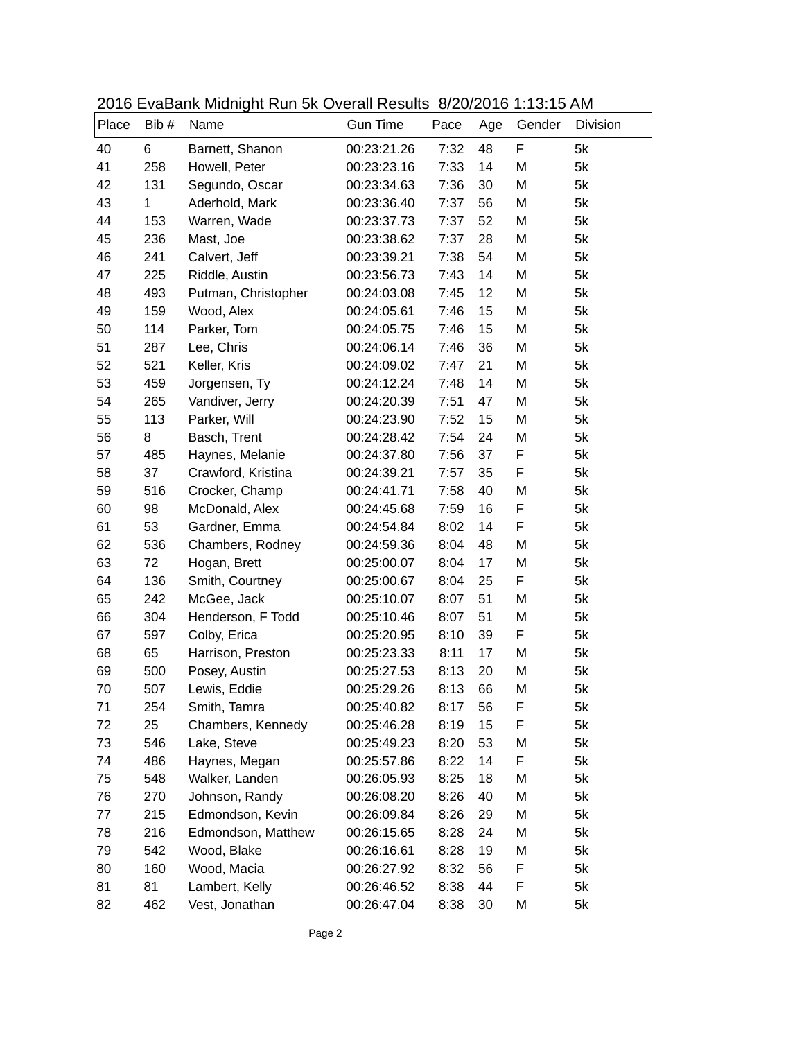|       |       | 2010 LVdDdin Midnight I tan of Ovolan Roodito 0/20/2010 1.10.107 fivi |                 |      |     |        |          |
|-------|-------|-----------------------------------------------------------------------|-----------------|------|-----|--------|----------|
| Place | Bib # | Name                                                                  | <b>Gun Time</b> | Pace | Age | Gender | Division |
| 40    | 6     | Barnett, Shanon                                                       | 00:23:21.26     | 7:32 | 48  | F      | 5k       |
| 41    | 258   | Howell, Peter                                                         | 00:23:23.16     | 7:33 | 14  | M      | 5k       |
| 42    | 131   | Segundo, Oscar                                                        | 00:23:34.63     | 7:36 | 30  | M      | 5k       |
| 43    | 1     | Aderhold, Mark                                                        | 00:23:36.40     | 7:37 | 56  | M      | 5k       |
| 44    | 153   | Warren, Wade                                                          | 00:23:37.73     | 7:37 | 52  | M      | 5k       |
| 45    | 236   | Mast, Joe                                                             | 00:23:38.62     | 7:37 | 28  | M      | 5k       |
| 46    | 241   | Calvert, Jeff                                                         | 00:23:39.21     | 7:38 | 54  | M      | 5k       |
| 47    | 225   | Riddle, Austin                                                        | 00:23:56.73     | 7:43 | 14  | M      | 5k       |
| 48    | 493   | Putman, Christopher                                                   | 00:24:03.08     | 7:45 | 12  | M      | 5k       |
| 49    | 159   | Wood, Alex                                                            | 00:24:05.61     | 7:46 | 15  | M      | 5k       |
| 50    | 114   | Parker, Tom                                                           | 00:24:05.75     | 7:46 | 15  | M      | 5k       |
| 51    | 287   | Lee, Chris                                                            | 00:24:06.14     | 7:46 | 36  | M      | 5k       |
| 52    | 521   | Keller, Kris                                                          | 00:24:09.02     | 7:47 | 21  | M      | 5k       |
| 53    | 459   | Jorgensen, Ty                                                         | 00:24:12.24     | 7:48 | 14  | M      | 5k       |
| 54    | 265   | Vandiver, Jerry                                                       | 00:24:20.39     | 7:51 | 47  | M      | 5k       |
| 55    | 113   | Parker, Will                                                          | 00:24:23.90     | 7:52 | 15  | M      | 5k       |
| 56    | 8     | Basch, Trent                                                          | 00:24:28.42     | 7:54 | 24  | M      | 5k       |
| 57    | 485   | Haynes, Melanie                                                       | 00:24:37.80     | 7:56 | 37  | F      | 5k       |
| 58    | 37    | Crawford, Kristina                                                    | 00:24:39.21     | 7:57 | 35  | F      | 5k       |
| 59    | 516   | Crocker, Champ                                                        | 00:24:41.71     | 7:58 | 40  | M      | 5k       |
| 60    | 98    | McDonald, Alex                                                        | 00:24:45.68     | 7:59 | 16  | F      | 5k       |
| 61    | 53    | Gardner, Emma                                                         | 00:24:54.84     | 8:02 | 14  | F      | 5k       |
| 62    | 536   | Chambers, Rodney                                                      | 00:24:59.36     | 8:04 | 48  | M      | 5k       |
| 63    | 72    | Hogan, Brett                                                          | 00:25:00.07     | 8:04 | 17  | M      | 5k       |
| 64    | 136   | Smith, Courtney                                                       | 00:25:00.67     | 8:04 | 25  | F      | 5k       |
| 65    | 242   | McGee, Jack                                                           | 00:25:10.07     | 8:07 | 51  | M      | 5k       |
| 66    | 304   | Henderson, F Todd                                                     | 00:25:10.46     | 8:07 | 51  | M      | 5k       |
| 67    | 597   | Colby, Erica                                                          | 00:25:20.95     | 8:10 | 39  | F      | 5k       |
| 68    | 65    | Harrison, Preston                                                     | 00:25:23.33     | 8:11 | 17  | M      | 5k       |
| 69    | 500   | Posey, Austin                                                         | 00:25:27.53     | 8:13 | 20  | M      | 5k       |
| 70    | 507   | Lewis, Eddie                                                          | 00:25:29.26     | 8:13 | 66  | M      | 5k       |
| 71    | 254   | Smith, Tamra                                                          | 00:25:40.82     | 8:17 | 56  | F      | 5k       |
| 72    | 25    | Chambers, Kennedy                                                     | 00:25:46.28     | 8:19 | 15  | F      | 5k       |
| 73    | 546   | Lake, Steve                                                           | 00:25:49.23     | 8:20 | 53  | M      | 5k       |
| 74    | 486   | Haynes, Megan                                                         | 00:25:57.86     | 8:22 | 14  | F      | 5k       |
| 75    | 548   | Walker, Landen                                                        | 00:26:05.93     | 8:25 | 18  | M      | 5k       |
| 76    | 270   | Johnson, Randy                                                        | 00:26:08.20     | 8:26 | 40  | M      | 5k       |
| 77    | 215   | Edmondson, Kevin                                                      | 00:26:09.84     | 8:26 | 29  | M      | 5k       |
| 78    | 216   | Edmondson, Matthew                                                    | 00:26:15.65     | 8:28 | 24  | M      | 5k       |
| 79    | 542   | Wood, Blake                                                           | 00:26:16.61     | 8:28 | 19  | M      | 5k       |
| 80    | 160   | Wood, Macia                                                           | 00:26:27.92     | 8:32 | 56  | F      | 5k       |
| 81    | 81    | Lambert, Kelly                                                        | 00:26:46.52     | 8:38 | 44  | F      | 5k       |
| 82    | 462   | Vest, Jonathan                                                        | 00:26:47.04     | 8:38 | 30  | M      | 5k       |

2016 EvaBank Midnight Run 5k Overall Results 8/20/2016 1:13:15 AM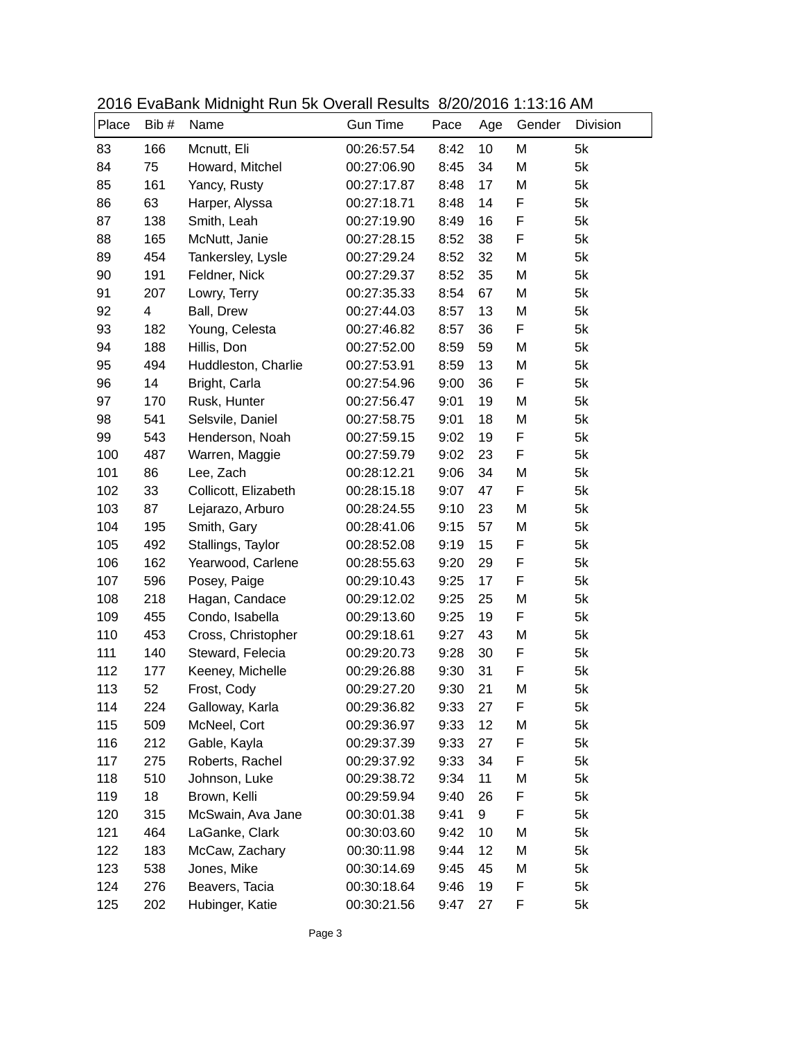|       |      | 2010 LVdDdin Midnight I tan of Ovolan Roodito 0/20/2010 1.10.107 fivi |                 |      |     |             |          |
|-------|------|-----------------------------------------------------------------------|-----------------|------|-----|-------------|----------|
| Place | Bib# | Name                                                                  | <b>Gun Time</b> | Pace | Age | Gender      | Division |
| 83    | 166  | Mcnutt, Eli                                                           | 00:26:57.54     | 8:42 | 10  | M           | 5k       |
| 84    | 75   | Howard, Mitchel                                                       | 00:27:06.90     | 8:45 | 34  | M           | 5k       |
| 85    | 161  | Yancy, Rusty                                                          | 00:27:17.87     | 8:48 | 17  | M           | 5k       |
| 86    | 63   | Harper, Alyssa                                                        | 00:27:18.71     | 8:48 | 14  | F           | 5k       |
| 87    | 138  | Smith, Leah                                                           | 00:27:19.90     | 8:49 | 16  | F           | 5k       |
| 88    | 165  | McNutt, Janie                                                         | 00:27:28.15     | 8:52 | 38  | $\mathsf F$ | 5k       |
| 89    | 454  | Tankersley, Lysle                                                     | 00:27:29.24     | 8:52 | 32  | M           | 5k       |
| 90    | 191  | Feldner, Nick                                                         | 00:27:29.37     | 8:52 | 35  | M           | 5k       |
| 91    | 207  | Lowry, Terry                                                          | 00:27:35.33     | 8:54 | 67  | M           | 5k       |
| 92    | 4    | Ball, Drew                                                            | 00:27:44.03     | 8:57 | 13  | M           | 5k       |
| 93    | 182  | Young, Celesta                                                        | 00:27:46.82     | 8:57 | 36  | F           | 5k       |
| 94    | 188  | Hillis, Don                                                           | 00:27:52.00     | 8:59 | 59  | M           | 5k       |
| 95    | 494  | Huddleston, Charlie                                                   | 00:27:53.91     | 8:59 | 13  | M           | 5k       |
| 96    | 14   | Bright, Carla                                                         | 00:27:54.96     | 9:00 | 36  | F           | 5k       |
| 97    | 170  | Rusk, Hunter                                                          | 00:27:56.47     | 9:01 | 19  | M           | 5k       |
| 98    | 541  | Selsvile, Daniel                                                      | 00:27:58.75     | 9:01 | 18  | M           | 5k       |
| 99    | 543  | Henderson, Noah                                                       | 00:27:59.15     | 9:02 | 19  | F           | 5k       |
| 100   | 487  | Warren, Maggie                                                        | 00:27:59.79     | 9:02 | 23  | F           | 5k       |
| 101   | 86   | Lee, Zach                                                             | 00:28:12.21     | 9:06 | 34  | M           | 5k       |
| 102   | 33   | Collicott, Elizabeth                                                  | 00:28:15.18     | 9:07 | 47  | F           | 5k       |
| 103   | 87   | Lejarazo, Arburo                                                      | 00:28:24.55     | 9:10 | 23  | M           | 5k       |
| 104   | 195  | Smith, Gary                                                           | 00:28:41.06     | 9:15 | 57  | M           | 5k       |
| 105   | 492  | Stallings, Taylor                                                     | 00:28:52.08     | 9:19 | 15  | F           | 5k       |
| 106   | 162  | Yearwood, Carlene                                                     | 00:28:55.63     | 9:20 | 29  | F           | 5k       |
| 107   | 596  | Posey, Paige                                                          | 00:29:10.43     | 9:25 | 17  | F           | 5k       |
| 108   | 218  | Hagan, Candace                                                        | 00:29:12.02     | 9:25 | 25  | M           | 5k       |
| 109   | 455  | Condo, Isabella                                                       | 00:29:13.60     | 9:25 | 19  | F           | 5k       |
| 110   | 453  | Cross, Christopher                                                    | 00:29:18.61     | 9:27 | 43  | M           | 5k       |
| 111   | 140  | Steward, Felecia                                                      | 00:29:20.73     | 9:28 | 30  | F           | 5k       |
| 112   | 177  | Keeney, Michelle                                                      | 00:29:26.88     | 9:30 | 31  | F           | 5k       |
| 113   | 52   | Frost, Cody                                                           | 00:29:27.20     | 9:30 | 21  | M           | 5k       |
| 114   | 224  | Galloway, Karla                                                       | 00:29:36.82     | 9:33 | 27  | F           | 5k       |
| 115   | 509  | McNeel, Cort                                                          | 00:29:36.97     | 9:33 | 12  | M           | 5k       |
| 116   | 212  | Gable, Kayla                                                          | 00:29:37.39     | 9:33 | 27  | F           | 5k       |
| 117   | 275  | Roberts, Rachel                                                       | 00:29:37.92     | 9:33 | 34  | F           | 5k       |
| 118   | 510  | Johnson, Luke                                                         | 00:29:38.72     | 9:34 | 11  | M           | 5k       |
| 119   | 18   | Brown, Kelli                                                          | 00:29:59.94     | 9:40 | 26  | F           | 5k       |
| 120   | 315  | McSwain, Ava Jane                                                     | 00:30:01.38     | 9:41 | 9   | F           | 5k       |
| 121   | 464  | LaGanke, Clark                                                        | 00:30:03.60     | 9:42 | 10  | M           | 5k       |
| 122   | 183  | McCaw, Zachary                                                        | 00:30:11.98     | 9:44 | 12  | M           | 5k       |
| 123   | 538  | Jones, Mike                                                           | 00:30:14.69     | 9:45 | 45  | M           | 5k       |
| 124   | 276  | Beavers, Tacia                                                        | 00:30:18.64     | 9:46 | 19  | F           | 5k       |
| 125   | 202  | Hubinger, Katie                                                       | 00:30:21.56     | 9:47 | 27  | F           | 5k       |

2016 EvaBank Midnight Run 5k Overall Results 8/20/2016 1:13:16 AM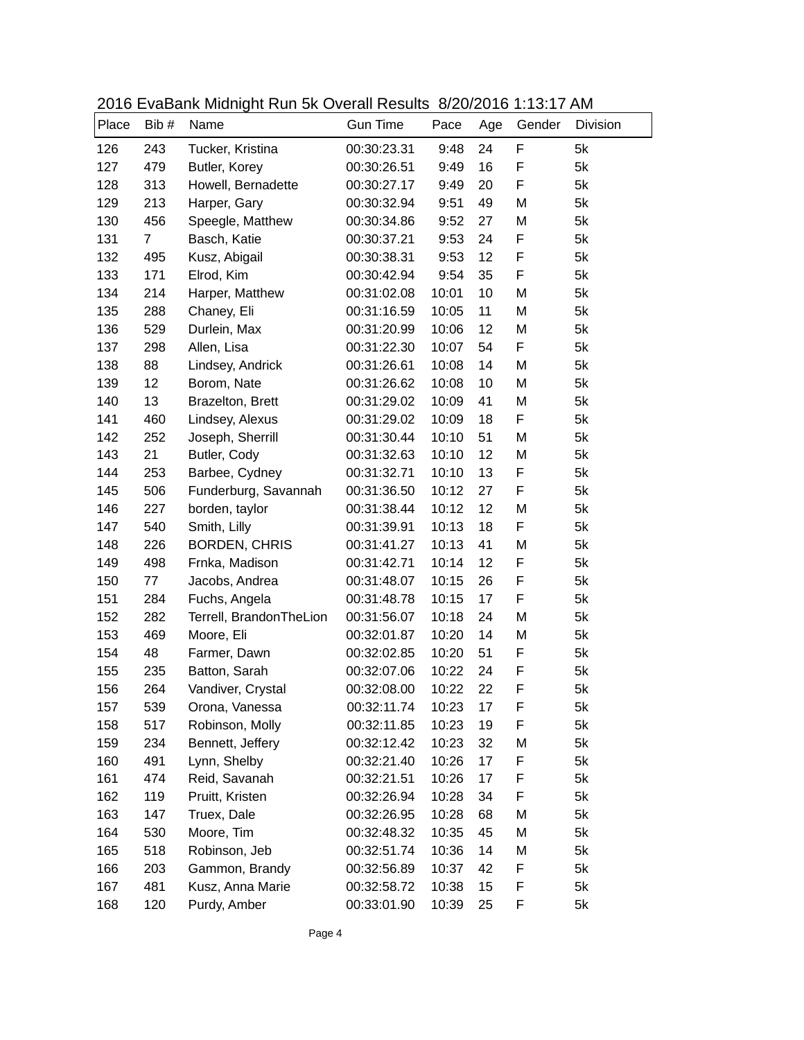|       |                | 2010 LVdDdin Midnight I tan of Ovolan Roodito 0/20/2010 1.10.11 / thi |                 |       |     |        |          |
|-------|----------------|-----------------------------------------------------------------------|-----------------|-------|-----|--------|----------|
| Place | Bib #          | Name                                                                  | <b>Gun Time</b> | Pace  | Age | Gender | Division |
| 126   | 243            | Tucker, Kristina                                                      | 00:30:23.31     | 9:48  | 24  | F      | 5k       |
| 127   | 479            | Butler, Korey                                                         | 00:30:26.51     | 9:49  | 16  | F      | 5k       |
| 128   | 313            | Howell, Bernadette                                                    | 00:30:27.17     | 9:49  | 20  | F      | 5k       |
| 129   | 213            | Harper, Gary                                                          | 00:30:32.94     | 9:51  | 49  | M      | 5k       |
| 130   | 456            | Speegle, Matthew                                                      | 00:30:34.86     | 9:52  | 27  | M      | 5k       |
| 131   | $\overline{7}$ | Basch, Katie                                                          | 00:30:37.21     | 9:53  | 24  | F      | 5k       |
| 132   | 495            | Kusz, Abigail                                                         | 00:30:38.31     | 9:53  | 12  | F      | 5k       |
| 133   | 171            | Elrod, Kim                                                            | 00:30:42.94     | 9:54  | 35  | F      | 5k       |
| 134   | 214            | Harper, Matthew                                                       | 00:31:02.08     | 10:01 | 10  | M      | 5k       |
| 135   | 288            | Chaney, Eli                                                           | 00:31:16.59     | 10:05 | 11  | M      | 5k       |
| 136   | 529            | Durlein, Max                                                          | 00:31:20.99     | 10:06 | 12  | M      | 5k       |
| 137   | 298            | Allen, Lisa                                                           | 00:31:22.30     | 10:07 | 54  | F      | 5k       |
| 138   | 88             | Lindsey, Andrick                                                      | 00:31:26.61     | 10:08 | 14  | M      | 5k       |
| 139   | 12             | Borom, Nate                                                           | 00:31:26.62     | 10:08 | 10  | M      | 5k       |
| 140   | 13             | Brazelton, Brett                                                      | 00:31:29.02     | 10:09 | 41  | M      | 5k       |
| 141   | 460            | Lindsey, Alexus                                                       | 00:31:29.02     | 10:09 | 18  | F      | 5k       |
| 142   | 252            | Joseph, Sherrill                                                      | 00:31:30.44     | 10:10 | 51  | M      | 5k       |
| 143   | 21             | Butler, Cody                                                          | 00:31:32.63     | 10:10 | 12  | M      | 5k       |
| 144   | 253            | Barbee, Cydney                                                        | 00:31:32.71     | 10:10 | 13  | F      | 5k       |
| 145   | 506            | Funderburg, Savannah                                                  | 00:31:36.50     | 10:12 | 27  | F      | 5k       |
| 146   | 227            | borden, taylor                                                        | 00:31:38.44     | 10:12 | 12  | M      | 5k       |
| 147   | 540            | Smith, Lilly                                                          | 00:31:39.91     | 10:13 | 18  | F      | 5k       |
| 148   | 226            | <b>BORDEN, CHRIS</b>                                                  | 00:31:41.27     | 10:13 | 41  | M      | 5k       |
| 149   | 498            | Frnka, Madison                                                        | 00:31:42.71     | 10:14 | 12  | F      | 5k       |
| 150   | 77             | Jacobs, Andrea                                                        | 00:31:48.07     | 10:15 | 26  | F      | 5k       |
| 151   | 284            | Fuchs, Angela                                                         | 00:31:48.78     | 10:15 | 17  | F      | 5k       |
| 152   | 282            | Terrell, BrandonTheLion                                               | 00:31:56.07     | 10:18 | 24  | M      | 5k       |
| 153   | 469            | Moore, Eli                                                            | 00:32:01.87     | 10:20 | 14  | M      | 5k       |
| 154   | 48             | Farmer, Dawn                                                          | 00:32:02.85     | 10:20 | 51  | F      | 5k       |
| 155   | 235            | Batton, Sarah                                                         | 00:32:07.06     | 10:22 | 24  | F      | 5k       |
| 156   | 264            | Vandiver, Crystal                                                     | 00:32:08.00     | 10:22 | 22  | F      | 5k       |
| 157   | 539            | Orona, Vanessa                                                        | 00:32:11.74     | 10:23 | 17  | F      | 5k       |
| 158   | 517            | Robinson, Molly                                                       | 00:32:11.85     | 10:23 | 19  | F      | 5k       |
| 159   | 234            | Bennett, Jeffery                                                      | 00:32:12.42     | 10:23 | 32  | M      | 5k       |
| 160   | 491            | Lynn, Shelby                                                          | 00:32:21.40     | 10:26 | 17  | F      | 5k       |
| 161   | 474            | Reid, Savanah                                                         | 00:32:21.51     | 10:26 | 17  | F      | 5k       |
| 162   | 119            | Pruitt, Kristen                                                       | 00:32:26.94     | 10:28 | 34  | F      | 5k       |
| 163   | 147            | Truex, Dale                                                           | 00:32:26.95     | 10:28 | 68  | M      | 5k       |
| 164   | 530            | Moore, Tim                                                            | 00:32:48.32     | 10:35 | 45  | M      | 5k       |
| 165   | 518            | Robinson, Jeb                                                         | 00:32:51.74     | 10:36 | 14  | M      | 5k       |
| 166   | 203            | Gammon, Brandy                                                        | 00:32:56.89     | 10:37 | 42  | F      | 5k       |
| 167   | 481            | Kusz, Anna Marie                                                      | 00:32:58.72     | 10:38 | 15  | F      | 5k       |
| 168   | 120            | Purdy, Amber                                                          | 00:33:01.90     | 10:39 | 25  | F      | 5k       |

2016 EvaBank Midnight Run 5k Overall Results 8/20/2016 1:13:17 AM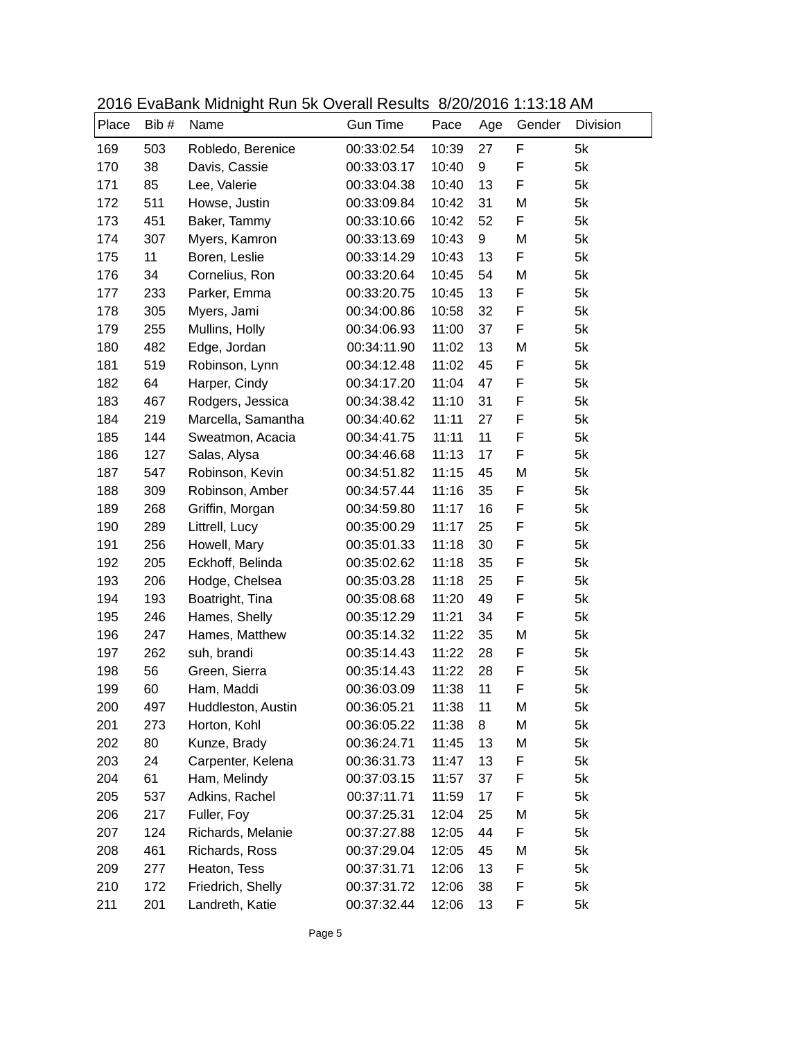|       |       | $2010$ Lydbarn, midnight right of Ovolan riodallo $0/20/2010$ 1.10.107 am |                 |       |     |        |          |
|-------|-------|---------------------------------------------------------------------------|-----------------|-------|-----|--------|----------|
| Place | Bib # | Name                                                                      | <b>Gun Time</b> | Pace  | Age | Gender | Division |
| 169   | 503   | Robledo, Berenice                                                         | 00:33:02.54     | 10:39 | 27  | F      | 5k       |
| 170   | 38    | Davis, Cassie                                                             | 00:33:03.17     | 10:40 | 9   | F      | 5k       |
| 171   | 85    | Lee, Valerie                                                              | 00:33:04.38     | 10:40 | 13  | F      | 5k       |
| 172   | 511   | Howse, Justin                                                             | 00:33:09.84     | 10:42 | 31  | M      | 5k       |
| 173   | 451   | Baker, Tammy                                                              | 00:33:10.66     | 10:42 | 52  | F      | 5k       |
| 174   | 307   | Myers, Kamron                                                             | 00:33:13.69     | 10:43 | 9   | M      | 5k       |
| 175   | 11    | Boren, Leslie                                                             | 00:33:14.29     | 10:43 | 13  | F      | 5k       |
| 176   | 34    | Cornelius, Ron                                                            | 00:33:20.64     | 10:45 | 54  | M      | 5k       |
| 177   | 233   | Parker, Emma                                                              | 00:33:20.75     | 10:45 | 13  | F      | 5k       |
| 178   | 305   | Myers, Jami                                                               | 00:34:00.86     | 10:58 | 32  | F      | 5k       |
| 179   | 255   | Mullins, Holly                                                            | 00:34:06.93     | 11:00 | 37  | F      | 5k       |
| 180   | 482   | Edge, Jordan                                                              | 00:34:11.90     | 11:02 | 13  | M      | 5k       |
| 181   | 519   | Robinson, Lynn                                                            | 00:34:12.48     | 11:02 | 45  | F      | 5k       |
| 182   | 64    | Harper, Cindy                                                             | 00:34:17.20     | 11:04 | 47  | F      | 5k       |
| 183   | 467   | Rodgers, Jessica                                                          | 00:34:38.42     | 11:10 | 31  | F      | 5k       |
| 184   | 219   | Marcella, Samantha                                                        | 00:34:40.62     | 11:11 | 27  | F      | 5k       |
| 185   | 144   | Sweatmon, Acacia                                                          | 00:34:41.75     | 11:11 | 11  | F      | 5k       |
| 186   | 127   | Salas, Alysa                                                              | 00:34:46.68     | 11:13 | 17  | F      | 5k       |
| 187   | 547   | Robinson, Kevin                                                           | 00:34:51.82     | 11:15 | 45  | M      | 5k       |
| 188   | 309   | Robinson, Amber                                                           | 00:34:57.44     | 11:16 | 35  | F      | 5k       |
| 189   | 268   | Griffin, Morgan                                                           | 00:34:59.80     | 11:17 | 16  | F      | 5k       |
| 190   | 289   | Littrell, Lucy                                                            | 00:35:00.29     | 11:17 | 25  | F      | 5k       |
| 191   | 256   | Howell, Mary                                                              | 00:35:01.33     | 11:18 | 30  | F      | 5k       |
| 192   | 205   | Eckhoff, Belinda                                                          | 00:35:02.62     | 11:18 | 35  | F      | 5k       |
| 193   | 206   | Hodge, Chelsea                                                            | 00:35:03.28     | 11:18 | 25  | F      | 5k       |
| 194   | 193   | Boatright, Tina                                                           | 00:35:08.68     | 11:20 | 49  | F      | 5k       |
| 195   | 246   | Hames, Shelly                                                             | 00:35:12.29     | 11:21 | 34  | F      | 5k       |
| 196   | 247   | Hames, Matthew                                                            | 00:35:14.32     | 11:22 | 35  | M      | 5k       |
| 197   | 262   | suh, brandi                                                               | 00:35:14.43     | 11:22 | 28  | F      | 5k       |
| 198   | 56    | Green, Sierra                                                             | 00:35:14.43     | 11:22 | 28  | F      | 5k       |
| 199   | 60    | Ham, Maddi                                                                | 00:36:03.09     | 11:38 | 11  | F      | 5k       |
| 200   | 497   | Huddleston, Austin                                                        | 00:36:05.21     | 11:38 | 11  | M      | 5k       |
| 201   | 273   | Horton, Kohl                                                              | 00:36:05.22     | 11:38 | 8   | М      | 5k       |
| 202   | 80    | Kunze, Brady                                                              | 00:36:24.71     | 11:45 | 13  | M      | 5k       |
| 203   | 24    | Carpenter, Kelena                                                         | 00:36:31.73     | 11:47 | 13  | F      | 5k       |
| 204   | 61    | Ham, Melindy                                                              | 00:37:03.15     | 11:57 | 37  | F      | 5k       |
| 205   | 537   | Adkins, Rachel                                                            | 00:37:11.71     | 11:59 | 17  | F      | 5k       |
| 206   | 217   | Fuller, Foy                                                               | 00:37:25.31     | 12:04 | 25  | M      | 5k       |
| 207   | 124   | Richards, Melanie                                                         | 00:37:27.88     | 12:05 | 44  | F      | 5k       |
| 208   | 461   | Richards, Ross                                                            | 00:37:29.04     | 12:05 | 45  | M      | 5k       |
| 209   | 277   | Heaton, Tess                                                              | 00:37:31.71     | 12:06 | 13  | F      | 5k       |
| 210   | 172   | Friedrich, Shelly                                                         | 00:37:31.72     | 12:06 | 38  | F      | 5k       |
| 211   | 201   | Landreth, Katie                                                           | 00:37:32.44     | 12:06 | 13  | F      | 5k       |

2016 EvaBank Midnight Run 5k Overall Results 8/20/2016 1:13:18 AM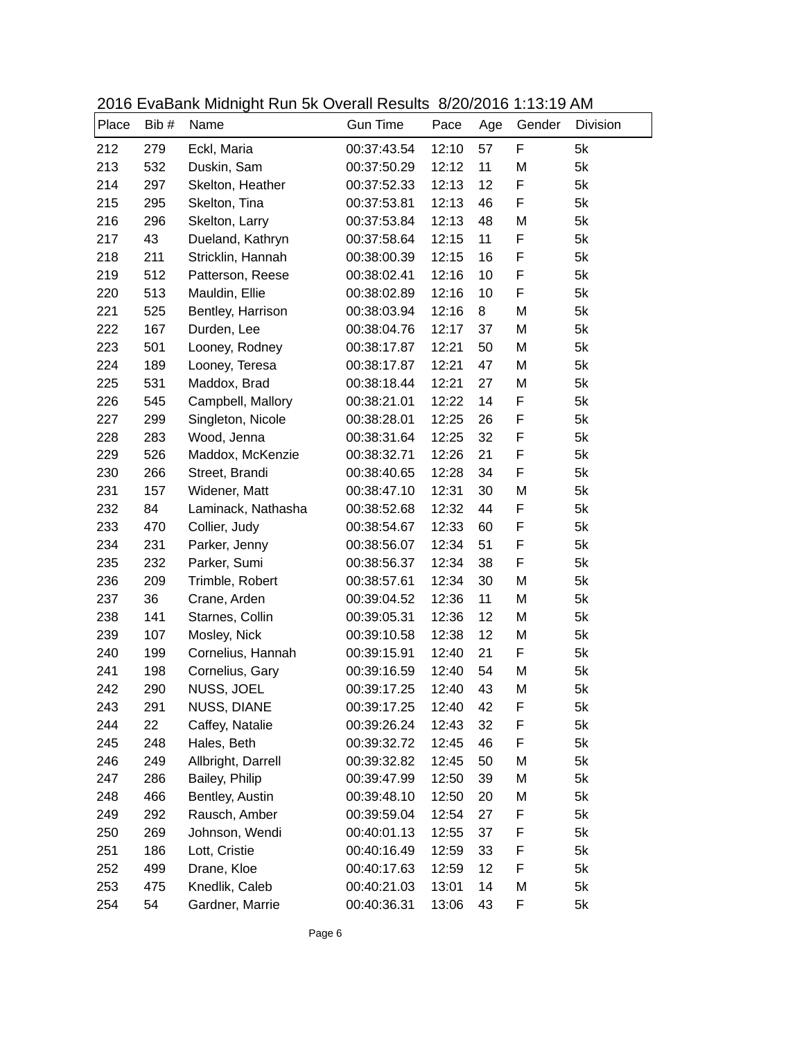|       |       | 2010 LVdDdin Midnight I tan of Ovolan Roodito 0/20/2010 1.10.107 fivi |                 |       |     |        |          |
|-------|-------|-----------------------------------------------------------------------|-----------------|-------|-----|--------|----------|
| Place | Bib # | Name                                                                  | <b>Gun Time</b> | Pace  | Age | Gender | Division |
| 212   | 279   | Eckl, Maria                                                           | 00:37:43.54     | 12:10 | 57  | F      | 5k       |
| 213   | 532   | Duskin, Sam                                                           | 00:37:50.29     | 12:12 | 11  | M      | 5k       |
| 214   | 297   | Skelton, Heather                                                      | 00:37:52.33     | 12:13 | 12  | F      | 5k       |
| 215   | 295   | Skelton, Tina                                                         | 00:37:53.81     | 12:13 | 46  | F      | 5k       |
| 216   | 296   | Skelton, Larry                                                        | 00:37:53.84     | 12:13 | 48  | M      | 5k       |
| 217   | 43    | Dueland, Kathryn                                                      | 00:37:58.64     | 12:15 | 11  | F      | 5k       |
| 218   | 211   | Stricklin, Hannah                                                     | 00:38:00.39     | 12:15 | 16  | F      | 5k       |
| 219   | 512   | Patterson, Reese                                                      | 00:38:02.41     | 12:16 | 10  | F      | 5k       |
| 220   | 513   | Mauldin, Ellie                                                        | 00:38:02.89     | 12:16 | 10  | F      | 5k       |
| 221   | 525   | Bentley, Harrison                                                     | 00:38:03.94     | 12:16 | 8   | M      | 5k       |
| 222   | 167   | Durden, Lee                                                           | 00:38:04.76     | 12:17 | 37  | M      | 5k       |
| 223   | 501   | Looney, Rodney                                                        | 00:38:17.87     | 12:21 | 50  | M      | 5k       |
| 224   | 189   | Looney, Teresa                                                        | 00:38:17.87     | 12:21 | 47  | M      | 5k       |
| 225   | 531   | Maddox, Brad                                                          | 00:38:18.44     | 12:21 | 27  | M      | 5k       |
| 226   | 545   | Campbell, Mallory                                                     | 00:38:21.01     | 12:22 | 14  | F      | 5k       |
| 227   | 299   | Singleton, Nicole                                                     | 00:38:28.01     | 12:25 | 26  | F      | 5k       |
| 228   | 283   | Wood, Jenna                                                           | 00:38:31.64     | 12:25 | 32  | F      | 5k       |
| 229   | 526   | Maddox, McKenzie                                                      | 00:38:32.71     | 12:26 | 21  | F      | 5k       |
| 230   | 266   | Street, Brandi                                                        | 00:38:40.65     | 12:28 | 34  | F      | 5k       |
| 231   | 157   | Widener, Matt                                                         | 00:38:47.10     | 12:31 | 30  | M      | 5k       |
| 232   | 84    | Laminack, Nathasha                                                    | 00:38:52.68     | 12:32 | 44  | F      | 5k       |
| 233   | 470   | Collier, Judy                                                         | 00:38:54.67     | 12:33 | 60  | F      | 5k       |
| 234   | 231   | Parker, Jenny                                                         | 00:38:56.07     | 12:34 | 51  | F      | 5k       |
| 235   | 232   | Parker, Sumi                                                          | 00:38:56.37     | 12:34 | 38  | F      | 5k       |
| 236   | 209   | Trimble, Robert                                                       | 00:38:57.61     | 12:34 | 30  | M      | 5k       |
| 237   | 36    | Crane, Arden                                                          | 00:39:04.52     | 12:36 | 11  | M      | 5k       |
| 238   | 141   | Starnes, Collin                                                       | 00:39:05.31     | 12:36 | 12  | M      | 5k       |
| 239   | 107   | Mosley, Nick                                                          | 00:39:10.58     | 12:38 | 12  | M      | 5k       |
| 240   | 199   | Cornelius, Hannah                                                     | 00:39:15.91     | 12:40 | 21  | F      | 5k       |
| 241   | 198   | Cornelius, Gary                                                       | 00:39:16.59     | 12:40 | 54  | M      | 5k       |
| 242   | 290   | NUSS, JOEL                                                            | 00:39:17.25     | 12:40 | 43  | M      | 5k       |
| 243   | 291   | NUSS, DIANE                                                           | 00:39:17.25     | 12:40 | 42  | F      | 5k       |
| 244   | 22    | Caffey, Natalie                                                       | 00:39:26.24     | 12:43 | 32  | F      | 5k       |
| 245   | 248   | Hales, Beth                                                           | 00:39:32.72     | 12:45 | 46  | F      | 5k       |
| 246   | 249   | Allbright, Darrell                                                    | 00:39:32.82     | 12:45 | 50  | M      | 5k       |
| 247   | 286   | Bailey, Philip                                                        | 00:39:47.99     | 12:50 | 39  | M      | 5k       |
| 248   | 466   | Bentley, Austin                                                       | 00:39:48.10     | 12:50 | 20  | M      | 5k       |
| 249   | 292   | Rausch, Amber                                                         | 00:39:59.04     | 12:54 | 27  | F      | 5k       |
| 250   | 269   | Johnson, Wendi                                                        | 00:40:01.13     | 12:55 | 37  | F      | 5k       |
| 251   | 186   | Lott, Cristie                                                         | 00:40:16.49     | 12:59 | 33  | F      | 5k       |
| 252   | 499   | Drane, Kloe                                                           | 00:40:17.63     | 12:59 | 12  | F      | 5k       |
| 253   | 475   | Knedlik, Caleb                                                        | 00:40:21.03     | 13:01 | 14  | M      | 5k       |
| 254   | 54    | Gardner, Marrie                                                       | 00:40:36.31     | 13:06 | 43  | F      | 5k       |

2016 EvaBank Midnight Run 5k Overall Results 8/20/2016 1:13:19 AM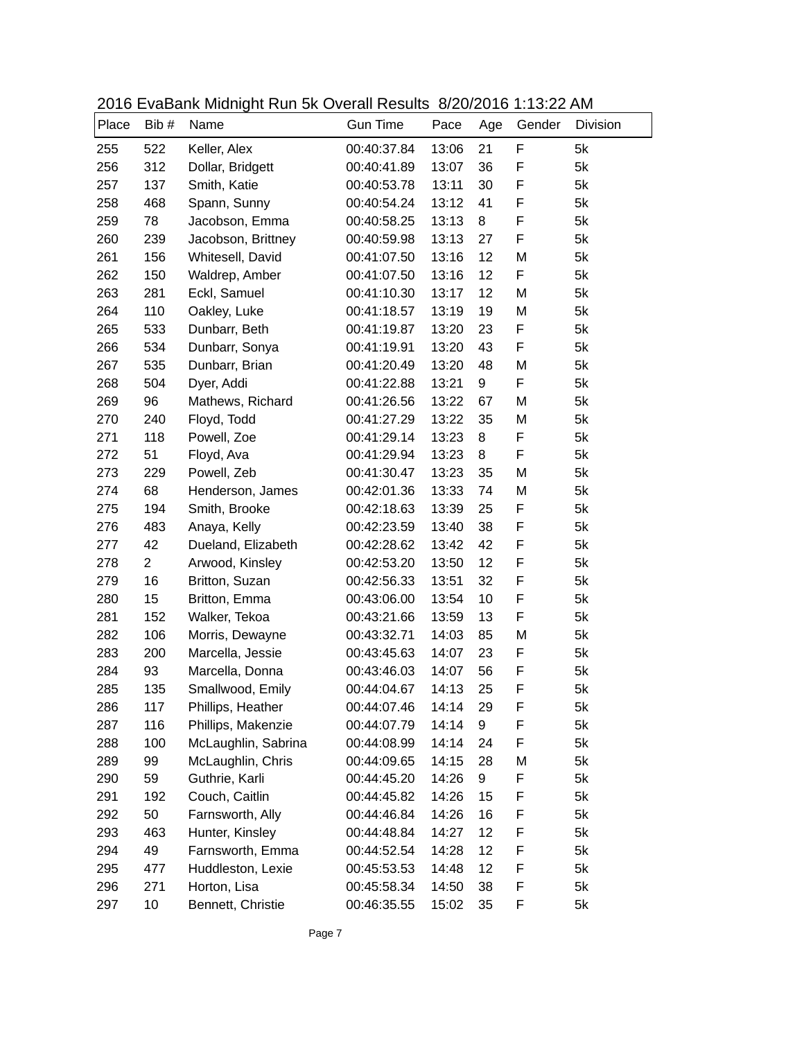|       |                | $2010$ Lydbarn, midnight right of Ovolan riodallo $0/20/2010$ 1.10.22 / livi |                 |       |     |        |          |
|-------|----------------|------------------------------------------------------------------------------|-----------------|-------|-----|--------|----------|
| Place | Bib#           | Name                                                                         | <b>Gun Time</b> | Pace  | Age | Gender | Division |
| 255   | 522            | Keller, Alex                                                                 | 00:40:37.84     | 13:06 | 21  | F      | 5k       |
| 256   | 312            | Dollar, Bridgett                                                             | 00:40:41.89     | 13:07 | 36  | F      | 5k       |
| 257   | 137            | Smith, Katie                                                                 | 00:40:53.78     | 13:11 | 30  | F      | 5k       |
| 258   | 468            | Spann, Sunny                                                                 | 00:40:54.24     | 13:12 | 41  | F      | 5k       |
| 259   | 78             | Jacobson, Emma                                                               | 00:40:58.25     | 13:13 | 8   | F      | 5k       |
| 260   | 239            | Jacobson, Brittney                                                           | 00:40:59.98     | 13:13 | 27  | F      | 5k       |
| 261   | 156            | Whitesell, David                                                             | 00:41:07.50     | 13:16 | 12  | M      | 5k       |
| 262   | 150            | Waldrep, Amber                                                               | 00:41:07.50     | 13:16 | 12  | F.     | 5k       |
| 263   | 281            | Eckl, Samuel                                                                 | 00:41:10.30     | 13:17 | 12  | M      | 5k       |
| 264   | 110            | Oakley, Luke                                                                 | 00:41:18.57     | 13:19 | 19  | M      | 5k       |
| 265   | 533            | Dunbarr, Beth                                                                | 00:41:19.87     | 13:20 | 23  | F      | 5k       |
| 266   | 534            | Dunbarr, Sonya                                                               | 00:41:19.91     | 13:20 | 43  | F      | 5k       |
| 267   | 535            | Dunbarr, Brian                                                               | 00:41:20.49     | 13:20 | 48  | M      | 5k       |
| 268   | 504            | Dyer, Addi                                                                   | 00:41:22.88     | 13:21 | 9   | F      | 5k       |
| 269   | 96             | Mathews, Richard                                                             | 00:41:26.56     | 13:22 | 67  | M      | 5k       |
| 270   | 240            | Floyd, Todd                                                                  | 00:41:27.29     | 13:22 | 35  | M      | 5k       |
| 271   | 118            | Powell, Zoe                                                                  | 00:41:29.14     | 13:23 | 8   | F      | 5k       |
| 272   | 51             | Floyd, Ava                                                                   | 00:41:29.94     | 13:23 | 8   | F      | 5k       |
| 273   | 229            | Powell, Zeb                                                                  | 00:41:30.47     | 13:23 | 35  | M      | 5k       |
| 274   | 68             | Henderson, James                                                             | 00:42:01.36     | 13:33 | 74  | M      | 5k       |
| 275   | 194            | Smith, Brooke                                                                | 00:42:18.63     | 13:39 | 25  | F      | 5k       |
| 276   | 483            | Anaya, Kelly                                                                 | 00:42:23.59     | 13:40 | 38  | F      | 5k       |
| 277   | 42             | Dueland, Elizabeth                                                           | 00:42:28.62     | 13:42 | 42  | F      | 5k       |
| 278   | $\overline{2}$ | Arwood, Kinsley                                                              | 00:42:53.20     | 13:50 | 12  | F      | 5k       |
| 279   | 16             | Britton, Suzan                                                               | 00:42:56.33     | 13:51 | 32  | F      | 5k       |
| 280   | 15             | Britton, Emma                                                                | 00:43:06.00     | 13:54 | 10  | F      | 5k       |
| 281   | 152            | Walker, Tekoa                                                                | 00:43:21.66     | 13:59 | 13  | F      | 5k       |
| 282   | 106            | Morris, Dewayne                                                              | 00:43:32.71     | 14:03 | 85  | M      | 5k       |
| 283   | 200            | Marcella, Jessie                                                             | 00:43:45.63     | 14:07 | 23  | F      | 5k       |
| 284   | 93             | Marcella, Donna                                                              | 00:43:46.03     | 14:07 | 56  | F      | 5k       |
| 285   | 135            | Smallwood, Emily                                                             | 00:44:04.67     | 14:13 | 25  | F      | 5k       |
| 286   | 117            | Phillips, Heather                                                            | 00:44:07.46     | 14:14 | 29  | F      | 5k       |
| 287   | 116            | Phillips, Makenzie                                                           | 00:44:07.79     | 14:14 | 9   | F      | 5k       |
| 288   | 100            | McLaughlin, Sabrina                                                          | 00:44:08.99     | 14:14 | 24  | F      | 5k       |
| 289   | 99             | McLaughlin, Chris                                                            | 00:44:09.65     | 14:15 | 28  | M      | 5k       |
| 290   | 59             | Guthrie, Karli                                                               | 00:44:45.20     | 14:26 | 9   | F      | 5k       |
| 291   | 192            | Couch, Caitlin                                                               | 00:44:45.82     | 14:26 | 15  | F      | 5k       |
| 292   | 50             | Farnsworth, Ally                                                             | 00:44:46.84     | 14:26 | 16  | F      | 5k       |
| 293   | 463            | Hunter, Kinsley                                                              | 00:44:48.84     | 14:27 | 12  | F      | 5k       |
| 294   | 49             | Farnsworth, Emma                                                             | 00:44:52.54     | 14:28 | 12  | F      | 5k       |
| 295   | 477            | Huddleston, Lexie                                                            | 00:45:53.53     | 14:48 | 12  | F      | 5k       |
| 296   | 271            | Horton, Lisa                                                                 | 00:45:58.34     | 14:50 | 38  | F      | 5k       |
| 297   | 10             | Bennett, Christie                                                            | 00:46:35.55     | 15:02 | 35  | F      | 5k       |

2016 EvaBank Midnight Run 5k Overall Results 8/20/2016 1:13:22 AM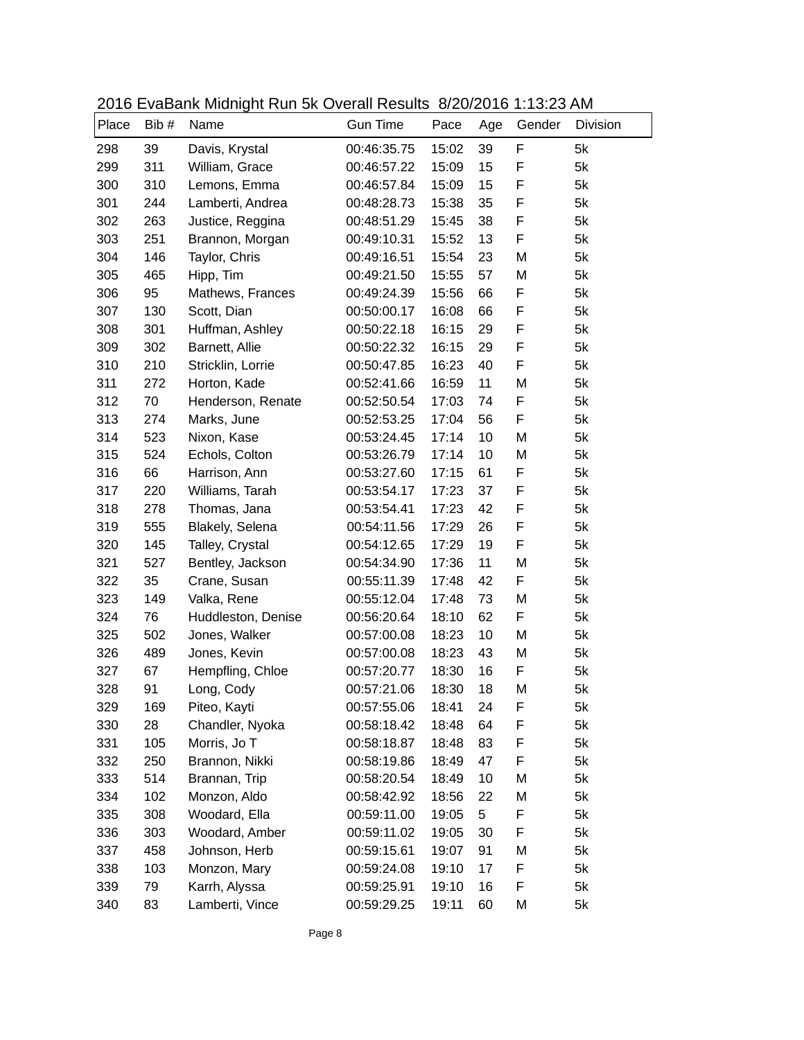|       |       | 2010 LVdDdin Midnight I tan of Ovolan Roodito 0/20/2010 1.10.207 fm |                 |       |     |             |          |
|-------|-------|---------------------------------------------------------------------|-----------------|-------|-----|-------------|----------|
| Place | Bib # | Name                                                                | <b>Gun Time</b> | Pace  | Age | Gender      | Division |
| 298   | 39    | Davis, Krystal                                                      | 00:46:35.75     | 15:02 | 39  | F           | 5k       |
| 299   | 311   | William, Grace                                                      | 00:46:57.22     | 15:09 | 15  | F           | 5k       |
| 300   | 310   | Lemons, Emma                                                        | 00:46:57.84     | 15:09 | 15  | F           | 5k       |
| 301   | 244   | Lamberti, Andrea                                                    | 00:48:28.73     | 15:38 | 35  | F           | 5k       |
| 302   | 263   | Justice, Reggina                                                    | 00:48:51.29     | 15:45 | 38  | F           | 5k       |
| 303   | 251   | Brannon, Morgan                                                     | 00:49:10.31     | 15:52 | 13  | $\mathsf F$ | 5k       |
| 304   | 146   | Taylor, Chris                                                       | 00:49:16.51     | 15:54 | 23  | M           | 5k       |
| 305   | 465   | Hipp, Tim                                                           | 00:49:21.50     | 15:55 | 57  | M           | 5k       |
| 306   | 95    | Mathews, Frances                                                    | 00:49:24.39     | 15:56 | 66  | F           | 5k       |
| 307   | 130   | Scott, Dian                                                         | 00:50:00.17     | 16:08 | 66  | F           | 5k       |
| 308   | 301   | Huffman, Ashley                                                     | 00:50:22.18     | 16:15 | 29  | F           | 5k       |
| 309   | 302   | Barnett, Allie                                                      | 00:50:22.32     | 16:15 | 29  | F           | 5k       |
| 310   | 210   | Stricklin, Lorrie                                                   | 00:50:47.85     | 16:23 | 40  | F           | 5k       |
| 311   | 272   | Horton, Kade                                                        | 00:52:41.66     | 16:59 | 11  | M           | 5k       |
| 312   | 70    | Henderson, Renate                                                   | 00:52:50.54     | 17:03 | 74  | F           | 5k       |
| 313   | 274   | Marks, June                                                         | 00:52:53.25     | 17:04 | 56  | F           | 5k       |
| 314   | 523   | Nixon, Kase                                                         | 00:53:24.45     | 17:14 | 10  | M           | 5k       |
| 315   | 524   | Echols, Colton                                                      | 00:53:26.79     | 17:14 | 10  | M           | 5k       |
| 316   | 66    | Harrison, Ann                                                       | 00:53:27.60     | 17:15 | 61  | F           | 5k       |
| 317   | 220   | Williams, Tarah                                                     | 00:53:54.17     | 17:23 | 37  | F           | 5k       |
| 318   | 278   | Thomas, Jana                                                        | 00:53:54.41     | 17:23 | 42  | F           | 5k       |
| 319   | 555   | Blakely, Selena                                                     | 00:54:11.56     | 17:29 | 26  | F           | 5k       |
| 320   | 145   | Talley, Crystal                                                     | 00:54:12.65     | 17:29 | 19  | F           | 5k       |
| 321   | 527   | Bentley, Jackson                                                    | 00:54:34.90     | 17:36 | 11  | M           | 5k       |
| 322   | 35    | Crane, Susan                                                        | 00:55:11.39     | 17:48 | 42  | F           | 5k       |
| 323   | 149   | Valka, Rene                                                         | 00:55:12.04     | 17:48 | 73  | M           | 5k       |
| 324   | 76    | Huddleston, Denise                                                  | 00:56:20.64     | 18:10 | 62  | F           | 5k       |
| 325   | 502   | Jones, Walker                                                       | 00:57:00.08     | 18:23 | 10  | M           | 5k       |
| 326   | 489   | Jones, Kevin                                                        | 00:57:00.08     | 18:23 | 43  | M           | 5k       |
| 327   | 67    | Hempfling, Chloe                                                    | 00:57:20.77     | 18:30 | 16  | F           | 5k       |
| 328   | 91    | Long, Cody                                                          | 00:57:21.06     | 18:30 | 18  | M           | 5k       |
| 329   | 169   | Piteo, Kayti                                                        | 00:57:55.06     | 18:41 | 24  | F           | 5k       |
| 330   | 28    | Chandler, Nyoka                                                     | 00:58:18.42     | 18:48 | 64  | F           | 5k       |
| 331   | 105   | Morris, Jo T                                                        | 00:58:18.87     | 18:48 | 83  | F           | 5k       |
| 332   | 250   | Brannon, Nikki                                                      | 00:58:19.86     | 18:49 | 47  | F           | 5k       |
| 333   | 514   | Brannan, Trip                                                       | 00:58:20.54     | 18:49 | 10  | M           | 5k       |
| 334   | 102   | Monzon, Aldo                                                        | 00:58:42.92     | 18:56 | 22  | M           | 5k       |
| 335   | 308   | Woodard, Ella                                                       | 00:59:11.00     | 19:05 | 5   | F           | 5k       |
| 336   | 303   | Woodard, Amber                                                      | 00:59:11.02     | 19:05 | 30  | F           | 5k       |
| 337   | 458   | Johnson, Herb                                                       | 00:59:15.61     | 19:07 | 91  | M           | 5k       |
| 338   | 103   | Monzon, Mary                                                        | 00:59:24.08     | 19:10 | 17  | F           | 5k       |
| 339   | 79    | Karrh, Alyssa                                                       | 00:59:25.91     | 19:10 | 16  | F           | 5k       |
| 340   | 83    | Lamberti, Vince                                                     | 00:59:29.25     | 19:11 | 60  | M           | 5k       |

2016 EvaBank Midnight Run 5k Overall Results 8/20/2016 1:13:23 AM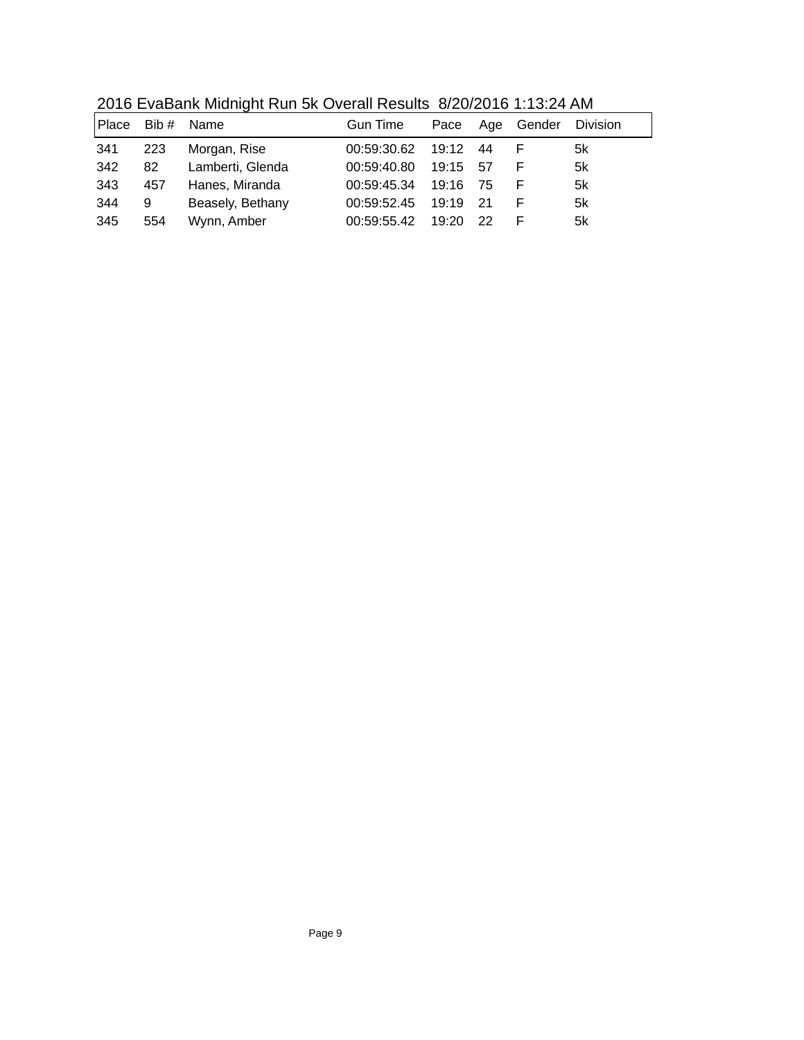| Place | Bib $#$ | Name             | <b>Gun Time</b> | Pace Age |      | Gender | <b>Division</b> |
|-------|---------|------------------|-----------------|----------|------|--------|-----------------|
| 341   | 223     | Morgan, Rise     | 00:59:30.62     | 19:12    | 44   |        | 5k              |
| 342   | 82      | Lamberti, Glenda | 00:59:40.80     | 19:15 57 |      |        | 5k              |
| 343   | 457     | Hanes, Miranda   | 00:59:45.34     | 19:16 75 |      |        | 5k              |
| 344   | 9       | Beasely, Bethany | 00:59:52.45     | 19:19    | - 21 |        | 5k              |
| 345   | 554     | Wynn, Amber      | 00:59:55.42     | 19:20    | -22  |        | 5k              |

2016 EvaBank Midnight Run 5k Overall Results 8/20/2016 1:13:24 AM